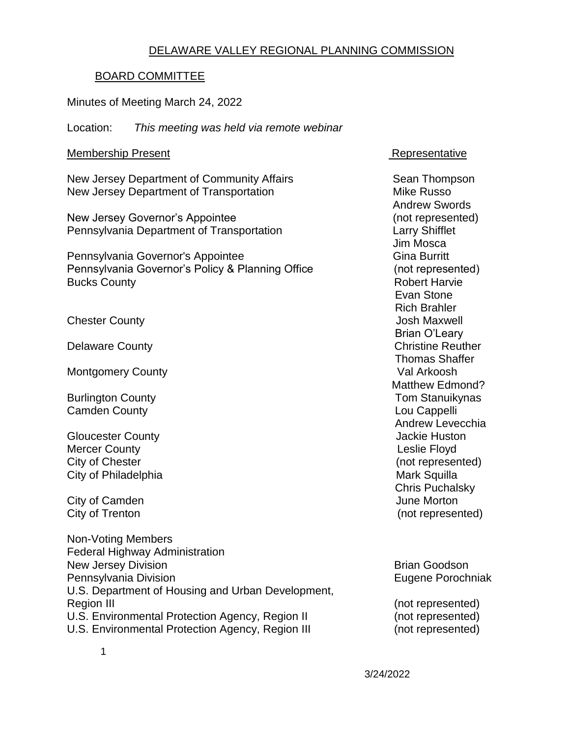#### DELAWARE VALLEY REGIONAL PLANNING COMMISSION

#### BOARD COMMITTEE

#### Minutes of Meeting March 24, 2022

Location: *This meeting was held via remote webinar*

#### Membership Present **Representative**

New Jersey Department of Community Affairs Sean Thompson New Jersey Department of Transportation Mike Russo

New Jersey Governor's Appointee (not represented) Pennsylvania Department of Transportation Larry Shifflet

Pennsylvania Governor's Appointee Gina Burritt Gina Burritt Pennsylvania Governor's Policy & Planning Office (not represented) Bucks County **Bucks** County **Robert Harvie Robert Harvie** 

Chester County **Chester County Chester County Josh Maxwell** 

Montgomery County **Value Arkoosh** 

**Camden County Cambridge Cambridge Cambridge Cappelli** 

Gloucester County **Gloucester County Jackie Huston** Mercer County **County County County County County County County County County County County County County County County County County County County County County County County** City of Chester (not represented) City of Philadelphia **Mark Squilla** Mark Squilla

**City of Camden** June Morton

Non-Voting Members Federal Highway Administration New Jersey Division **Brian Goodson** Brian Goodson Pennsylvania Division **Eugene Porochniak** U.S. Department of Housing and Urban Development, Region III (not represented) U.S. Environmental Protection Agency, Region II (not represented) U.S. Environmental Protection Agency, Region III (not represented)

 Andrew Swords Jim Mosca Evan Stone Rich Brahler Brian O'Leary Delaware County **Christian County** Christian Christian Christian Christian Christian Christian Christian Christian Christian Christian Christian Christian Christian Christian Christian Christian Christian Christian Christi Thomas Shaffer Matthew Edmond? Burlington County **New York County Burlington County Tom Stanuikynas**  Andrew Levecchia Chris Puchalsky City of Trenton (not represented)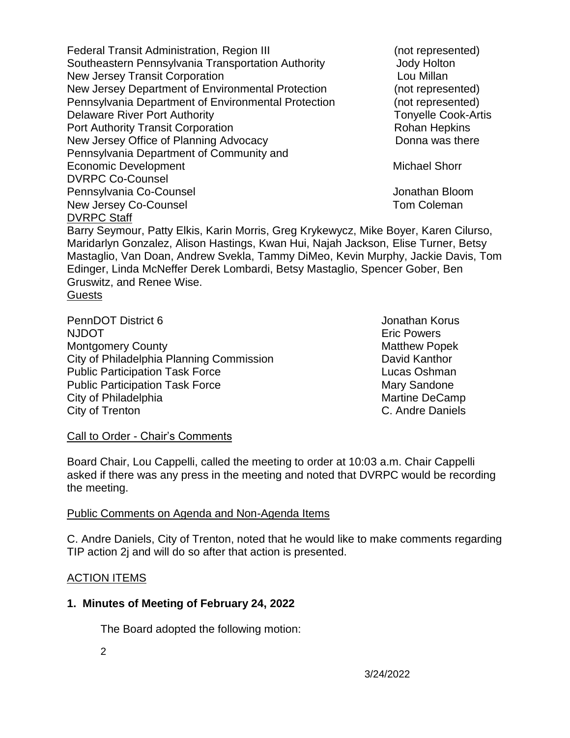Federal Transit Administration, Region III entitled and represented) Southeastern Pennsylvania Transportation Authority **Southeastern Pennsylvania Transportation** Authority New Jersey Transit Corporation **Louis Communisty** Lou Millan New Jersey Department of Environmental Protection (not represented) Pennsylvania Department of Environmental Protection (not represented) Delaware River Port Authority **Tonyelle Cook-Artis Tonyelle Cook-Artis** Port Authority Transit Corporation **Rohan Hepkins** Rohan Hepkins New Jersey Office of Planning Advocacy Donna was there Pennsylvania Department of Community and Economic Development Michael Shorr Michael Shorr DVRPC Co-Counsel Pennsylvania Co-Counsel Jonathan Bloom New Jersey Co-Counsel **New Jersey Co-Counsel** DVRPC Staff Barry Seymour, Patty Elkis, Karin Morris, Greg Krykewycz, Mike Boyer, Karen Cilurso, Maridarlyn Gonzalez, Alison Hastings, Kwan Hui, Najah Jackson, Elise Turner, Betsy Mastaglio, Van Doan, Andrew Svekla, Tammy DiMeo, Kevin Murphy, Jackie Davis, Tom Edinger, Linda McNeffer Derek Lombardi, Betsy Mastaglio, Spencer Gober, Ben Gruswitz, and Renee Wise. **Guests** 

PennDOT District 6 **Jonathan Korus Jonathan Korus** NJDOT **Example 2018** 2019 12:00:00 NJDOT **Example 2019** Montgomery County **Montgomery County Matthew Popek** City of Philadelphia Planning Commission David Kanthor Public Participation Task Force **Lucas Oshman** Public Participation Task Force Mary Sandone City of Philadelphia **Martine DeCamp** Martine DeCamp City of Trenton C. Andre Daniels

Call to Order - Chair's Comments

Board Chair, Lou Cappelli, called the meeting to order at 10:03 a.m. Chair Cappelli asked if there was any press in the meeting and noted that DVRPC would be recording the meeting.

#### Public Comments on Agenda and Non-Agenda Items

C. Andre Daniels, City of Trenton, noted that he would like to make comments regarding TIP action 2j and will do so after that action is presented.

#### ACTION ITEMS

#### **1. Minutes of Meeting of February 24, 2022**

The Board adopted the following motion:

2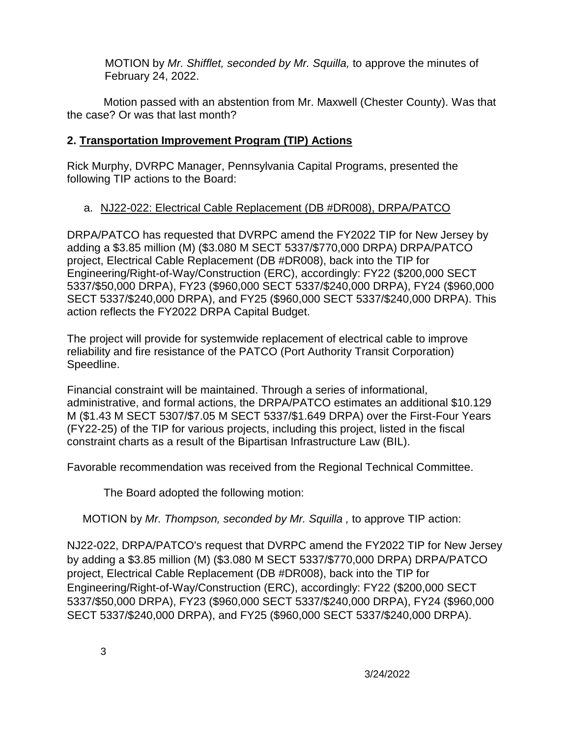MOTION by *Mr. Shifflet, seconded by Mr. Squilla,* to approve the minutes of February 24, 2022.

Motion passed with an abstention from Mr. Maxwell (Chester County). Was that the case? Or was that last month?

#### **2. Transportation Improvement Program (TIP) Actions**

Rick Murphy, DVRPC Manager, Pennsylvania Capital Programs, presented the following TIP actions to the Board:

## a. NJ22-022: Electrical Cable Replacement (DB #DR008), DRPA/PATCO

DRPA/PATCO has requested that DVRPC amend the FY2022 TIP for New Jersey by adding a \$3.85 million (M) (\$3.080 M SECT 5337/\$770,000 DRPA) DRPA/PATCO project, Electrical Cable Replacement (DB #DR008), back into the TIP for Engineering/Right-of-Way/Construction (ERC), accordingly: FY22 (\$200,000 SECT 5337/\$50,000 DRPA), FY23 (\$960,000 SECT 5337/\$240,000 DRPA), FY24 (\$960,000 SECT 5337/\$240,000 DRPA), and FY25 (\$960,000 SECT 5337/\$240,000 DRPA). This action reflects the FY2022 DRPA Capital Budget.

The project will provide for systemwide replacement of electrical cable to improve reliability and fire resistance of the PATCO (Port Authority Transit Corporation) Speedline.

Financial constraint will be maintained. Through a series of informational, administrative, and formal actions, the DRPA/PATCO estimates an additional \$10.129 M (\$1.43 M SECT 5307/\$7.05 M SECT 5337/\$1.649 DRPA) over the First-Four Years (FY22-25) of the TIP for various projects, including this project, listed in the fiscal constraint charts as a result of the Bipartisan Infrastructure Law (BIL).

Favorable recommendation was received from the Regional Technical Committee.

The Board adopted the following motion:

MOTION by *Mr. Thompson, seconded by Mr. Squilla ,* to approve TIP action:

NJ22-022, DRPA/PATCO's request that DVRPC amend the FY2022 TIP for New Jersey by adding a \$3.85 million (M) (\$3.080 M SECT 5337/\$770,000 DRPA) DRPA/PATCO project, Electrical Cable Replacement (DB #DR008), back into the TIP for Engineering/Right-of-Way/Construction (ERC), accordingly: FY22 (\$200,000 SECT 5337/\$50,000 DRPA), FY23 (\$960,000 SECT 5337/\$240,000 DRPA), FY24 (\$960,000 SECT 5337/\$240,000 DRPA), and FY25 (\$960,000 SECT 5337/\$240,000 DRPA).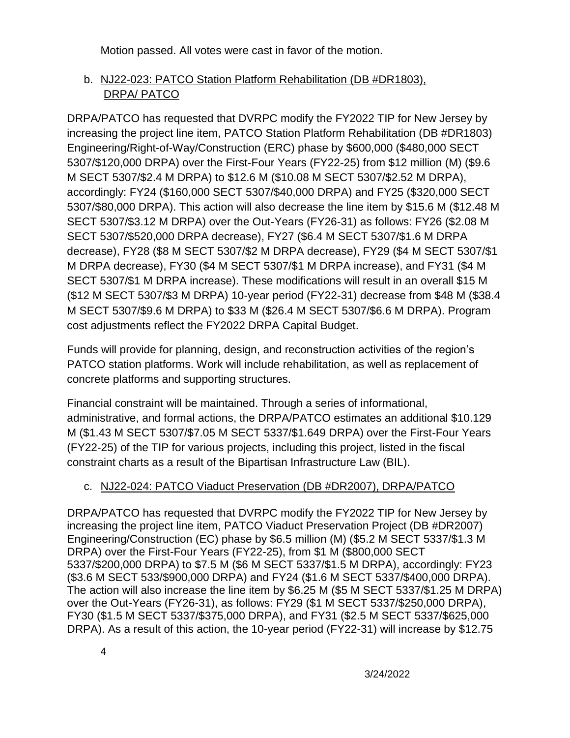Motion passed. All votes were cast in favor of the motion.

# b. NJ22-023: PATCO Station Platform Rehabilitation (DB #DR1803), DRPA/ PATCO

DRPA/PATCO has requested that DVRPC modify the FY2022 TIP for New Jersey by increasing the project line item, PATCO Station Platform Rehabilitation (DB #DR1803) Engineering/Right-of-Way/Construction (ERC) phase by \$600,000 (\$480,000 SECT 5307/\$120,000 DRPA) over the First-Four Years (FY22-25) from \$12 million (M) (\$9.6 M SECT 5307/\$2.4 M DRPA) to \$12.6 M (\$10.08 M SECT 5307/\$2.52 M DRPA), accordingly: FY24 (\$160,000 SECT 5307/\$40,000 DRPA) and FY25 (\$320,000 SECT 5307/\$80,000 DRPA). This action will also decrease the line item by \$15.6 M (\$12.48 M SECT 5307/\$3.12 M DRPA) over the Out-Years (FY26-31) as follows: FY26 (\$2.08 M SECT 5307/\$520,000 DRPA decrease), FY27 (\$6.4 M SECT 5307/\$1.6 M DRPA decrease), FY28 (\$8 M SECT 5307/\$2 M DRPA decrease), FY29 (\$4 M SECT 5307/\$1 M DRPA decrease), FY30 (\$4 M SECT 5307/\$1 M DRPA increase), and FY31 (\$4 M SECT 5307/\$1 M DRPA increase). These modifications will result in an overall \$15 M (\$12 M SECT 5307/\$3 M DRPA) 10-year period (FY22-31) decrease from \$48 M (\$38.4 M SECT 5307/\$9.6 M DRPA) to \$33 M (\$26.4 M SECT 5307/\$6.6 M DRPA). Program cost adjustments reflect the FY2022 DRPA Capital Budget.

Funds will provide for planning, design, and reconstruction activities of the region's PATCO station platforms. Work will include rehabilitation, as well as replacement of concrete platforms and supporting structures.

Financial constraint will be maintained. Through a series of informational, administrative, and formal actions, the DRPA/PATCO estimates an additional \$10.129 M (\$1.43 M SECT 5307/\$7.05 M SECT 5337/\$1.649 DRPA) over the First-Four Years (FY22-25) of the TIP for various projects, including this project, listed in the fiscal constraint charts as a result of the Bipartisan Infrastructure Law (BIL).

# c. NJ22-024: PATCO Viaduct Preservation (DB #DR2007), DRPA/PATCO

DRPA/PATCO has requested that DVRPC modify the FY2022 TIP for New Jersey by increasing the project line item, PATCO Viaduct Preservation Project (DB #DR2007) Engineering/Construction (EC) phase by \$6.5 million (M) (\$5.2 M SECT 5337/\$1.3 M DRPA) over the First-Four Years (FY22-25), from \$1 M (\$800,000 SECT 5337/\$200,000 DRPA) to \$7.5 M (\$6 M SECT 5337/\$1.5 M DRPA), accordingly: FY23 (\$3.6 M SECT 533/\$900,000 DRPA) and FY24 (\$1.6 M SECT 5337/\$400,000 DRPA). The action will also increase the line item by \$6.25 M (\$5 M SECT 5337/\$1.25 M DRPA) over the Out-Years (FY26-31), as follows: FY29 (\$1 M SECT 5337/\$250,000 DRPA), FY30 (\$1.5 M SECT 5337/\$375,000 DRPA), and FY31 (\$2.5 M SECT 5337/\$625,000 DRPA). As a result of this action, the 10-year period (FY22-31) will increase by \$12.75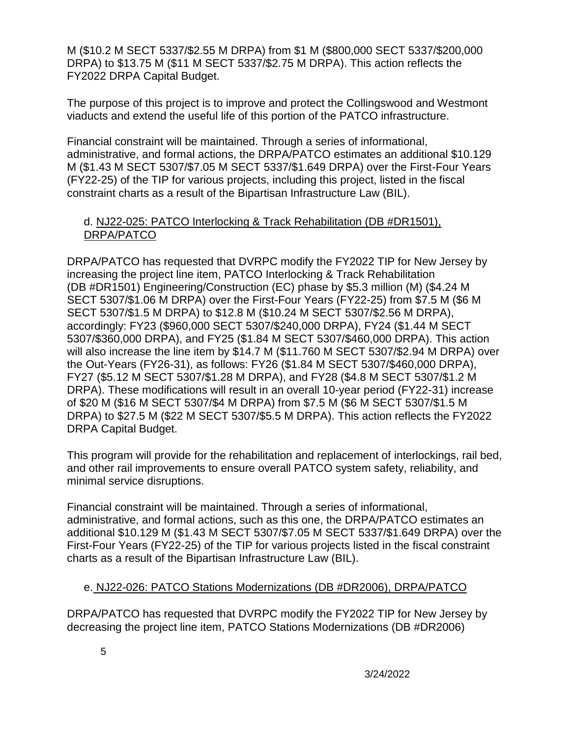M (\$10.2 M SECT 5337/\$2.55 M DRPA) from \$1 M (\$800,000 SECT 5337/\$200,000 DRPA) to \$13.75 M (\$11 M SECT 5337/\$2.75 M DRPA). This action reflects the FY2022 DRPA Capital Budget.

The purpose of this project is to improve and protect the Collingswood and Westmont viaducts and extend the useful life of this portion of the PATCO infrastructure.

Financial constraint will be maintained. Through a series of informational, administrative, and formal actions, the DRPA/PATCO estimates an additional \$10.129 M (\$1.43 M SECT 5307/\$7.05 M SECT 5337/\$1.649 DRPA) over the First-Four Years (FY22-25) of the TIP for various projects, including this project, listed in the fiscal constraint charts as a result of the Bipartisan Infrastructure Law (BIL).

#### d. NJ22-025: PATCO Interlocking & Track Rehabilitation (DB #DR1501), DRPA/PATCO

DRPA/PATCO has requested that DVRPC modify the FY2022 TIP for New Jersey by increasing the project line item, PATCO Interlocking & Track Rehabilitation (DB #DR1501) Engineering/Construction (EC) phase by \$5.3 million (M) (\$4.24 M SECT 5307/\$1.06 M DRPA) over the First-Four Years (FY22-25) from \$7.5 M (\$6 M SECT 5307/\$1.5 M DRPA) to \$12.8 M (\$10.24 M SECT 5307/\$2.56 M DRPA), accordingly: FY23 (\$960,000 SECT 5307/\$240,000 DRPA), FY24 (\$1.44 M SECT 5307/\$360,000 DRPA), and FY25 (\$1.84 M SECT 5307/\$460,000 DRPA). This action will also increase the line item by \$14.7 M (\$11.760 M SECT 5307/\$2.94 M DRPA) over the Out-Years (FY26-31), as follows: FY26 (\$1.84 M SECT 5307/\$460,000 DRPA), FY27 (\$5.12 M SECT 5307/\$1.28 M DRPA), and FY28 (\$4.8 M SECT 5307/\$1.2 M DRPA). These modifications will result in an overall 10-year period (FY22-31) increase of \$20 M (\$16 M SECT 5307/\$4 M DRPA) from \$7.5 M (\$6 M SECT 5307/\$1.5 M DRPA) to \$27.5 M (\$22 M SECT 5307/\$5.5 M DRPA). This action reflects the FY2022 DRPA Capital Budget.

This program will provide for the rehabilitation and replacement of interlockings, rail bed, and other rail improvements to ensure overall PATCO system safety, reliability, and minimal service disruptions.

Financial constraint will be maintained. Through a series of informational, administrative, and formal actions, such as this one, the DRPA/PATCO estimates an additional \$10.129 M (\$1.43 M SECT 5307/\$7.05 M SECT 5337/\$1.649 DRPA) over the First-Four Years (FY22-25) of the TIP for various projects listed in the fiscal constraint charts as a result of the Bipartisan Infrastructure Law (BIL).

#### e. NJ22-026: PATCO Stations Modernizations (DB #DR2006), DRPA/PATCO

DRPA/PATCO has requested that DVRPC modify the FY2022 TIP for New Jersey by decreasing the project line item, PATCO Stations Modernizations (DB #DR2006)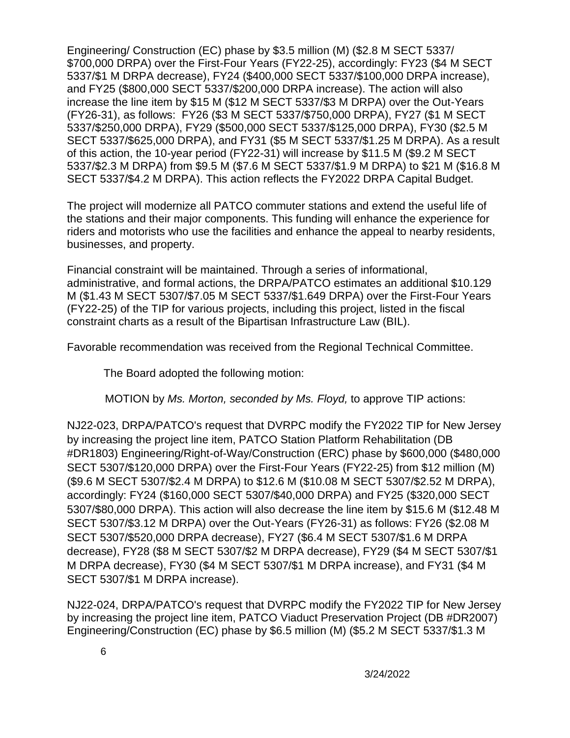Engineering/ Construction (EC) phase by \$3.5 million (M) (\$2.8 M SECT 5337/ \$700,000 DRPA) over the First-Four Years (FY22-25), accordingly: FY23 (\$4 M SECT 5337/\$1 M DRPA decrease), FY24 (\$400,000 SECT 5337/\$100,000 DRPA increase), and FY25 (\$800,000 SECT 5337/\$200,000 DRPA increase). The action will also increase the line item by \$15 M (\$12 M SECT 5337/\$3 M DRPA) over the Out-Years (FY26-31), as follows: FY26 (\$3 M SECT 5337/\$750,000 DRPA), FY27 (\$1 M SECT 5337/\$250,000 DRPA), FY29 (\$500,000 SECT 5337/\$125,000 DRPA), FY30 (\$2.5 M SECT 5337/\$625,000 DRPA), and FY31 (\$5 M SECT 5337/\$1.25 M DRPA). As a result of this action, the 10-year period (FY22-31) will increase by \$11.5 M (\$9.2 M SECT 5337/\$2.3 M DRPA) from \$9.5 M (\$7.6 M SECT 5337/\$1.9 M DRPA) to \$21 M (\$16.8 M SECT 5337/\$4.2 M DRPA). This action reflects the FY2022 DRPA Capital Budget.

The project will modernize all PATCO commuter stations and extend the useful life of the stations and their major components. This funding will enhance the experience for riders and motorists who use the facilities and enhance the appeal to nearby residents, businesses, and property.

Financial constraint will be maintained. Through a series of informational, administrative, and formal actions, the DRPA/PATCO estimates an additional \$10.129 M (\$1.43 M SECT 5307/\$7.05 M SECT 5337/\$1.649 DRPA) over the First-Four Years (FY22-25) of the TIP for various projects, including this project, listed in the fiscal constraint charts as a result of the Bipartisan Infrastructure Law (BIL).

Favorable recommendation was received from the Regional Technical Committee.

The Board adopted the following motion:

MOTION by *Ms. Morton, seconded by Ms. Floyd,* to approve TIP actions:

NJ22-023, DRPA/PATCO's request that DVRPC modify the FY2022 TIP for New Jersey by increasing the project line item, PATCO Station Platform Rehabilitation (DB #DR1803) Engineering/Right-of-Way/Construction (ERC) phase by \$600,000 (\$480,000 SECT 5307/\$120,000 DRPA) over the First-Four Years (FY22-25) from \$12 million (M) (\$9.6 M SECT 5307/\$2.4 M DRPA) to \$12.6 M (\$10.08 M SECT 5307/\$2.52 M DRPA), accordingly: FY24 (\$160,000 SECT 5307/\$40,000 DRPA) and FY25 (\$320,000 SECT 5307/\$80,000 DRPA). This action will also decrease the line item by \$15.6 M (\$12.48 M SECT 5307/\$3.12 M DRPA) over the Out-Years (FY26-31) as follows: FY26 (\$2.08 M SECT 5307/\$520,000 DRPA decrease), FY27 (\$6.4 M SECT 5307/\$1.6 M DRPA decrease), FY28 (\$8 M SECT 5307/\$2 M DRPA decrease), FY29 (\$4 M SECT 5307/\$1 M DRPA decrease), FY30 (\$4 M SECT 5307/\$1 M DRPA increase), and FY31 (\$4 M SECT 5307/\$1 M DRPA increase).

NJ22-024, DRPA/PATCO's request that DVRPC modify the FY2022 TIP for New Jersey by increasing the project line item, PATCO Viaduct Preservation Project (DB #DR2007) Engineering/Construction (EC) phase by \$6.5 million (M) (\$5.2 M SECT 5337/\$1.3 M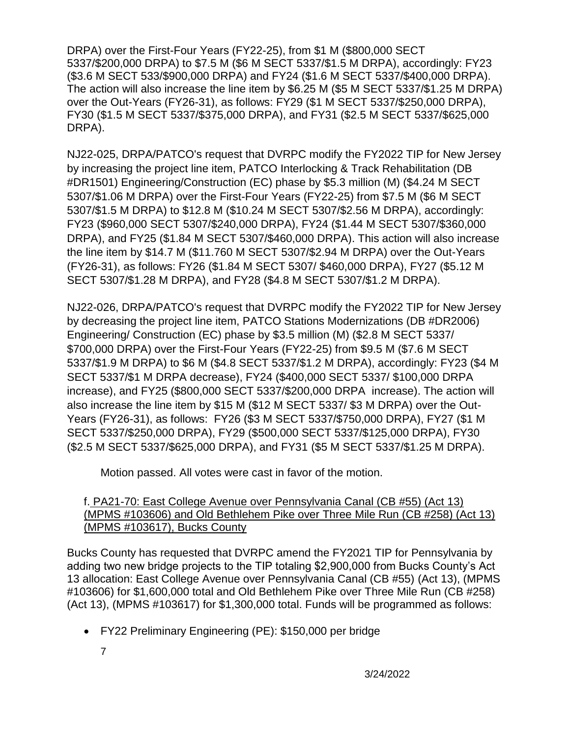DRPA) over the First-Four Years (FY22-25), from \$1 M (\$800,000 SECT 5337/\$200,000 DRPA) to \$7.5 M (\$6 M SECT 5337/\$1.5 M DRPA), accordingly: FY23 (\$3.6 M SECT 533/\$900,000 DRPA) and FY24 (\$1.6 M SECT 5337/\$400,000 DRPA). The action will also increase the line item by \$6.25 M (\$5 M SECT 5337/\$1.25 M DRPA) over the Out-Years (FY26-31), as follows: FY29 (\$1 M SECT 5337/\$250,000 DRPA), FY30 (\$1.5 M SECT 5337/\$375,000 DRPA), and FY31 (\$2.5 M SECT 5337/\$625,000 DRPA).

NJ22-025, DRPA/PATCO's request that DVRPC modify the FY2022 TIP for New Jersey by increasing the project line item, PATCO Interlocking & Track Rehabilitation (DB #DR1501) Engineering/Construction (EC) phase by \$5.3 million (M) (\$4.24 M SECT 5307/\$1.06 M DRPA) over the First-Four Years (FY22-25) from \$7.5 M (\$6 M SECT 5307/\$1.5 M DRPA) to \$12.8 M (\$10.24 M SECT 5307/\$2.56 M DRPA), accordingly: FY23 (\$960,000 SECT 5307/\$240,000 DRPA), FY24 (\$1.44 M SECT 5307/\$360,000 DRPA), and FY25 (\$1.84 M SECT 5307/\$460,000 DRPA). This action will also increase the line item by \$14.7 M (\$11.760 M SECT 5307/\$2.94 M DRPA) over the Out-Years (FY26-31), as follows: FY26 (\$1.84 M SECT 5307/ \$460,000 DRPA), FY27 (\$5.12 M SECT 5307/\$1.28 M DRPA), and FY28 (\$4.8 M SECT 5307/\$1.2 M DRPA).

NJ22-026, DRPA/PATCO's request that DVRPC modify the FY2022 TIP for New Jersey by decreasing the project line item, PATCO Stations Modernizations (DB #DR2006) Engineering/ Construction (EC) phase by \$3.5 million (M) (\$2.8 M SECT 5337/ \$700,000 DRPA) over the First-Four Years (FY22-25) from \$9.5 M (\$7.6 M SECT 5337/\$1.9 M DRPA) to \$6 M (\$4.8 SECT 5337/\$1.2 M DRPA), accordingly: FY23 (\$4 M SECT 5337/\$1 M DRPA decrease), FY24 (\$400,000 SECT 5337/ \$100,000 DRPA increase), and FY25 (\$800,000 SECT 5337/\$200,000 DRPA increase). The action will also increase the line item by \$15 M (\$12 M SECT 5337/ \$3 M DRPA) over the Out-Years (FY26-31), as follows: FY26 (\$3 M SECT 5337/\$750,000 DRPA), FY27 (\$1 M SECT 5337/\$250,000 DRPA), FY29 (\$500,000 SECT 5337/\$125,000 DRPA), FY30 (\$2.5 M SECT 5337/\$625,000 DRPA), and FY31 (\$5 M SECT 5337/\$1.25 M DRPA).

Motion passed. All votes were cast in favor of the motion.

#### f. PA21-70: East College Avenue over Pennsylvania Canal (CB #55) (Act 13) (MPMS #103606) and Old Bethlehem Pike over Three Mile Run (CB #258) (Act 13) (MPMS #103617), Bucks County

Bucks County has requested that DVRPC amend the FY2021 TIP for Pennsylvania by adding two new bridge projects to the TIP totaling \$2,900,000 from Bucks County's Act 13 allocation: East College Avenue over Pennsylvania Canal (CB #55) (Act 13), (MPMS #103606) for \$1,600,000 total and Old Bethlehem Pike over Three Mile Run (CB #258) (Act 13), (MPMS #103617) for \$1,300,000 total. Funds will be programmed as follows:

- FY22 Preliminary Engineering (PE): \$150,000 per bridge
	- 7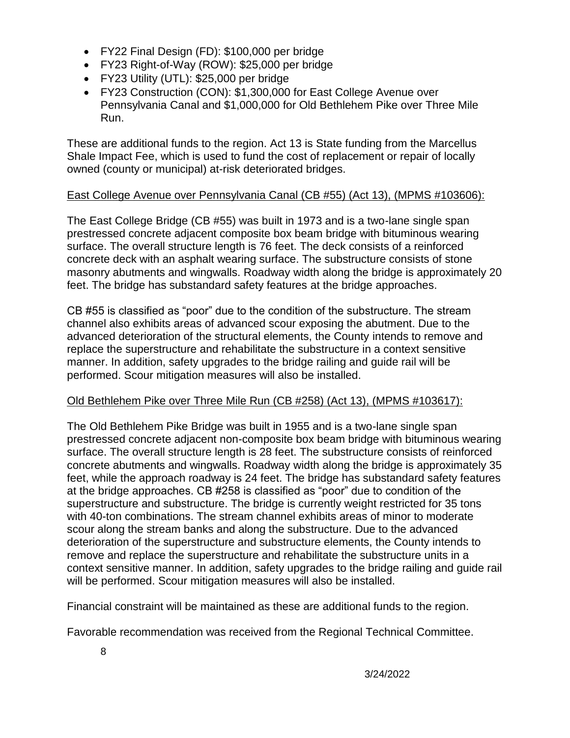- FY22 Final Design (FD): \$100,000 per bridge
- FY23 Right-of-Way (ROW): \$25,000 per bridge
- FY23 Utility (UTL): \$25,000 per bridge
- FY23 Construction (CON): \$1,300,000 for East College Avenue over Pennsylvania Canal and \$1,000,000 for Old Bethlehem Pike over Three Mile Run.

These are additional funds to the region. Act 13 is State funding from the Marcellus Shale Impact Fee, which is used to fund the cost of replacement or repair of locally owned (county or municipal) at-risk deteriorated bridges.

## East College Avenue over Pennsylvania Canal (CB #55) (Act 13), (MPMS #103606):

The East College Bridge (CB #55) was built in 1973 and is a two-lane single span prestressed concrete adjacent composite box beam bridge with bituminous wearing surface. The overall structure length is 76 feet. The deck consists of a reinforced concrete deck with an asphalt wearing surface. The substructure consists of stone masonry abutments and wingwalls. Roadway width along the bridge is approximately 20 feet. The bridge has substandard safety features at the bridge approaches.

CB #55 is classified as "poor" due to the condition of the substructure. The stream channel also exhibits areas of advanced scour exposing the abutment. Due to the advanced deterioration of the structural elements, the County intends to remove and replace the superstructure and rehabilitate the substructure in a context sensitive manner. In addition, safety upgrades to the bridge railing and guide rail will be performed. Scour mitigation measures will also be installed.

## Old Bethlehem Pike over Three Mile Run (CB #258) (Act 13), (MPMS #103617):

The Old Bethlehem Pike Bridge was built in 1955 and is a two-lane single span prestressed concrete adjacent non-composite box beam bridge with bituminous wearing surface. The overall structure length is 28 feet. The substructure consists of reinforced concrete abutments and wingwalls. Roadway width along the bridge is approximately 35 feet, while the approach roadway is 24 feet. The bridge has substandard safety features at the bridge approaches. CB #258 is classified as "poor" due to condition of the superstructure and substructure. The bridge is currently weight restricted for 35 tons with 40-ton combinations. The stream channel exhibits areas of minor to moderate scour along the stream banks and along the substructure. Due to the advanced deterioration of the superstructure and substructure elements, the County intends to remove and replace the superstructure and rehabilitate the substructure units in a context sensitive manner. In addition, safety upgrades to the bridge railing and guide rail will be performed. Scour mitigation measures will also be installed.

Financial constraint will be maintained as these are additional funds to the region.

Favorable recommendation was received from the Regional Technical Committee.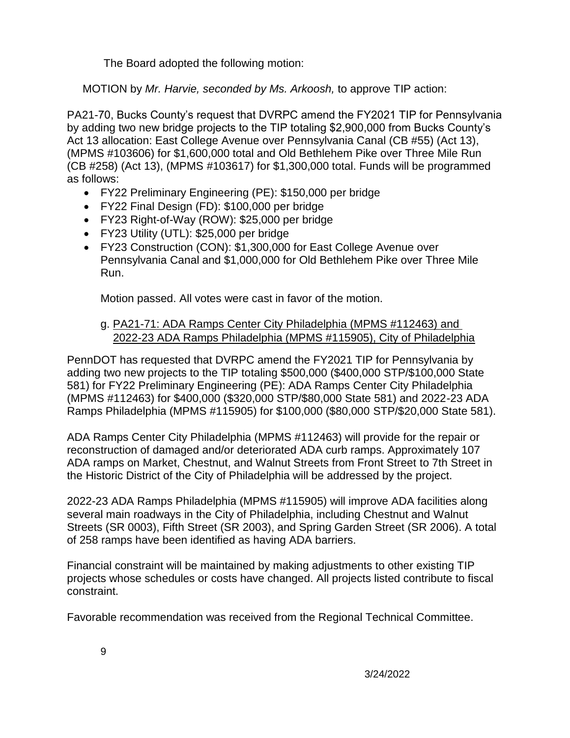The Board adopted the following motion:

MOTION by *Mr. Harvie, seconded by Ms. Arkoosh,* to approve TIP action:

PA21-70, Bucks County's request that DVRPC amend the FY2021 TIP for Pennsylvania by adding two new bridge projects to the TIP totaling \$2,900,000 from Bucks County's Act 13 allocation: East College Avenue over Pennsylvania Canal (CB #55) (Act 13), (MPMS #103606) for \$1,600,000 total and Old Bethlehem Pike over Three Mile Run (CB #258) (Act 13), (MPMS #103617) for \$1,300,000 total. Funds will be programmed as follows:

- FY22 Preliminary Engineering (PE): \$150,000 per bridge
- FY22 Final Design (FD): \$100,000 per bridge
- FY23 Right-of-Way (ROW): \$25,000 per bridge
- FY23 Utility (UTL): \$25,000 per bridge
- FY23 Construction (CON): \$1,300,000 for East College Avenue over Pennsylvania Canal and \$1,000,000 for Old Bethlehem Pike over Three Mile Run.

Motion passed. All votes were cast in favor of the motion.

## g. PA21-71: ADA Ramps Center City Philadelphia (MPMS #112463) and 2022-23 ADA Ramps Philadelphia (MPMS #115905), City of Philadelphia

PennDOT has requested that DVRPC amend the FY2021 TIP for Pennsylvania by adding two new projects to the TIP totaling \$500,000 (\$400,000 STP/\$100,000 State 581) for FY22 Preliminary Engineering (PE): ADA Ramps Center City Philadelphia (MPMS #112463) for \$400,000 (\$320,000 STP/\$80,000 State 581) and 2022-23 ADA Ramps Philadelphia (MPMS #115905) for \$100,000 (\$80,000 STP/\$20,000 State 581).

ADA Ramps Center City Philadelphia (MPMS #112463) will provide for the repair or reconstruction of damaged and/or deteriorated ADA curb ramps. Approximately 107 ADA ramps on Market, Chestnut, and Walnut Streets from Front Street to 7th Street in the Historic District of the City of Philadelphia will be addressed by the project.

2022-23 ADA Ramps Philadelphia (MPMS #115905) will improve ADA facilities along several main roadways in the City of Philadelphia, including Chestnut and Walnut Streets (SR 0003), Fifth Street (SR 2003), and Spring Garden Street (SR 2006). A total of 258 ramps have been identified as having ADA barriers.

Financial constraint will be maintained by making adjustments to other existing TIP projects whose schedules or costs have changed. All projects listed contribute to fiscal constraint.

Favorable recommendation was received from the Regional Technical Committee.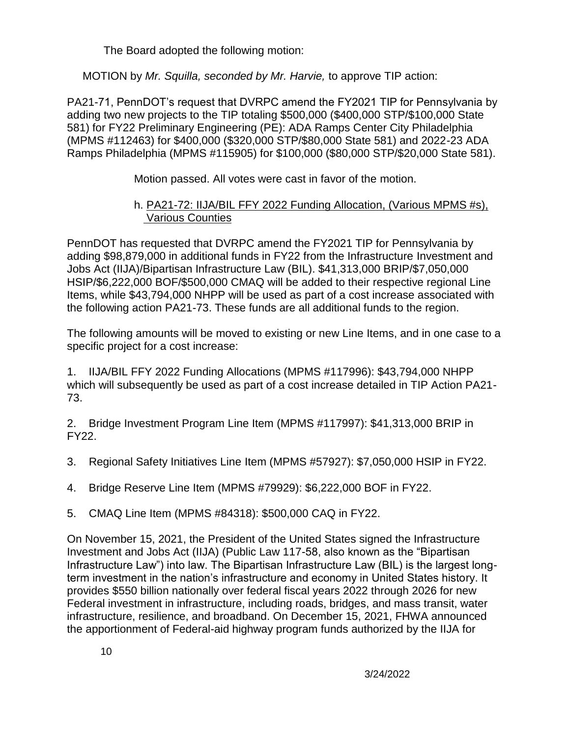The Board adopted the following motion:

MOTION by *Mr. Squilla, seconded by Mr. Harvie,* to approve TIP action:

PA21-71, PennDOT's request that DVRPC amend the FY2021 TIP for Pennsylvania by adding two new projects to the TIP totaling \$500,000 (\$400,000 STP/\$100,000 State 581) for FY22 Preliminary Engineering (PE): ADA Ramps Center City Philadelphia (MPMS #112463) for \$400,000 (\$320,000 STP/\$80,000 State 581) and 2022-23 ADA Ramps Philadelphia (MPMS #115905) for \$100,000 (\$80,000 STP/\$20,000 State 581).

Motion passed. All votes were cast in favor of the motion.

## h. PA21-72: IIJA/BIL FFY 2022 Funding Allocation, (Various MPMS #s), Various Counties

PennDOT has requested that DVRPC amend the FY2021 TIP for Pennsylvania by adding \$98,879,000 in additional funds in FY22 from the Infrastructure Investment and Jobs Act (IIJA)/Bipartisan Infrastructure Law (BIL). \$41,313,000 BRIP/\$7,050,000 HSIP/\$6,222,000 BOF/\$500,000 CMAQ will be added to their respective regional Line Items, while \$43,794,000 NHPP will be used as part of a cost increase associated with the following action PA21-73. These funds are all additional funds to the region.

The following amounts will be moved to existing or new Line Items, and in one case to a specific project for a cost increase:

1. IIJA/BIL FFY 2022 Funding Allocations (MPMS #117996): \$43,794,000 NHPP which will subsequently be used as part of a cost increase detailed in TIP Action PA21- 73.

2. Bridge Investment Program Line Item (MPMS #117997): \$41,313,000 BRIP in FY22.

- 3. Regional Safety Initiatives Line Item (MPMS #57927): \$7,050,000 HSIP in FY22.
- 4. Bridge Reserve Line Item (MPMS #79929): \$6,222,000 BOF in FY22.
- 5. CMAQ Line Item (MPMS #84318): \$500,000 CAQ in FY22.

On November 15, 2021, the President of the United States signed the Infrastructure Investment and Jobs Act (IIJA) (Public Law 117-58, also known as the "Bipartisan Infrastructure Law") into law. The Bipartisan Infrastructure Law (BIL) is the largest longterm investment in the nation's infrastructure and economy in United States history. It provides \$550 billion nationally over federal fiscal years 2022 through 2026 for new Federal investment in infrastructure, including roads, bridges, and mass transit, water infrastructure, resilience, and broadband. On December 15, 2021, FHWA announced the apportionment of Federal-aid highway program funds authorized by the IIJA for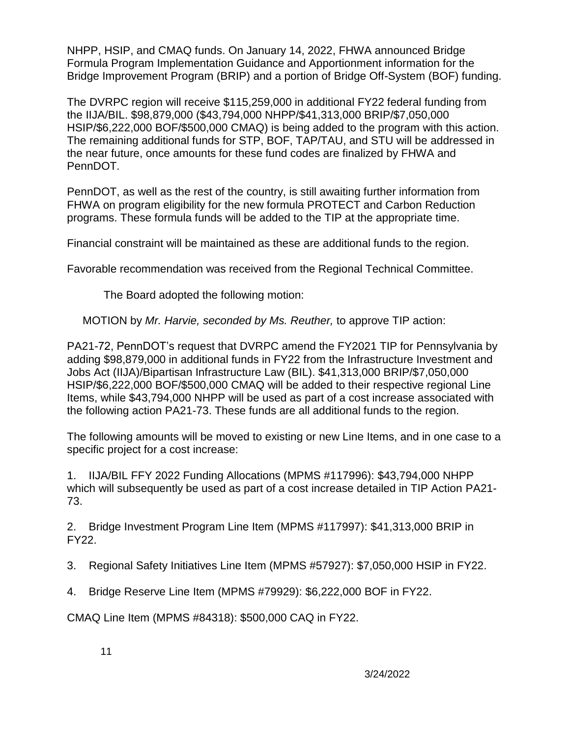NHPP, HSIP, and CMAQ funds. On January 14, 2022, FHWA announced Bridge Formula Program Implementation Guidance and Apportionment information for the Bridge Improvement Program (BRIP) and a portion of Bridge Off-System (BOF) funding.

The DVRPC region will receive \$115,259,000 in additional FY22 federal funding from the IIJA/BIL. \$98,879,000 (\$43,794,000 NHPP/\$41,313,000 BRIP/\$7,050,000 HSIP/\$6,222,000 BOF/\$500,000 CMAQ) is being added to the program with this action. The remaining additional funds for STP, BOF, TAP/TAU, and STU will be addressed in the near future, once amounts for these fund codes are finalized by FHWA and PennDOT.

PennDOT, as well as the rest of the country, is still awaiting further information from FHWA on program eligibility for the new formula PROTECT and Carbon Reduction programs. These formula funds will be added to the TIP at the appropriate time.

Financial constraint will be maintained as these are additional funds to the region.

Favorable recommendation was received from the Regional Technical Committee.

The Board adopted the following motion:

MOTION by *Mr. Harvie, seconded by Ms. Reuther,* to approve TIP action:

PA21-72, PennDOT's request that DVRPC amend the FY2021 TIP for Pennsylvania by adding \$98,879,000 in additional funds in FY22 from the Infrastructure Investment and Jobs Act (IIJA)/Bipartisan Infrastructure Law (BIL). \$41,313,000 BRIP/\$7,050,000 HSIP/\$6,222,000 BOF/\$500,000 CMAQ will be added to their respective regional Line Items, while \$43,794,000 NHPP will be used as part of a cost increase associated with the following action PA21-73. These funds are all additional funds to the region.

The following amounts will be moved to existing or new Line Items, and in one case to a specific project for a cost increase:

1. IIJA/BIL FFY 2022 Funding Allocations (MPMS #117996): \$43,794,000 NHPP which will subsequently be used as part of a cost increase detailed in TIP Action PA21- 73.

2. Bridge Investment Program Line Item (MPMS #117997): \$41,313,000 BRIP in FY22.

3. Regional Safety Initiatives Line Item (MPMS #57927): \$7,050,000 HSIP in FY22.

4. Bridge Reserve Line Item (MPMS #79929): \$6,222,000 BOF in FY22.

CMAQ Line Item (MPMS #84318): \$500,000 CAQ in FY22.

11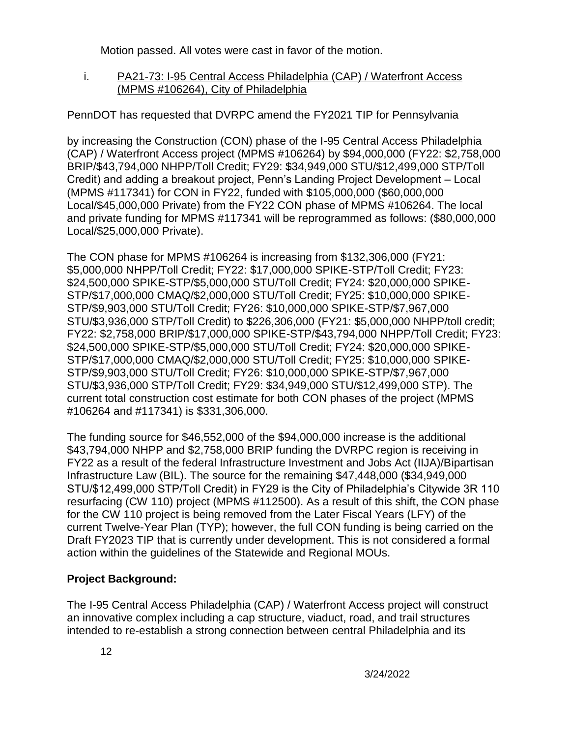Motion passed. All votes were cast in favor of the motion.

i. PA21-73: I-95 Central Access Philadelphia (CAP) / Waterfront Access (MPMS #106264), City of Philadelphia

PennDOT has requested that DVRPC amend the FY2021 TIP for Pennsylvania

by increasing the Construction (CON) phase of the I-95 Central Access Philadelphia (CAP) / Waterfront Access project (MPMS #106264) by \$94,000,000 (FY22: \$2,758,000 BRIP/\$43,794,000 NHPP/Toll Credit; FY29: \$34,949,000 STU/\$12,499,000 STP/Toll Credit) and adding a breakout project, Penn's Landing Project Development – Local (MPMS #117341) for CON in FY22, funded with \$105,000,000 (\$60,000,000 Local/\$45,000,000 Private) from the FY22 CON phase of MPMS #106264. The local and private funding for MPMS #117341 will be reprogrammed as follows: (\$80,000,000 Local/\$25,000,000 Private).

The CON phase for MPMS #106264 is increasing from \$132,306,000 (FY21: \$5,000,000 NHPP/Toll Credit; FY22: \$17,000,000 SPIKE-STP/Toll Credit; FY23: \$24,500,000 SPIKE-STP/\$5,000,000 STU/Toll Credit; FY24: \$20,000,000 SPIKE-STP/\$17,000,000 CMAQ/\$2,000,000 STU/Toll Credit; FY25: \$10,000,000 SPIKE-STP/\$9,903,000 STU/Toll Credit; FY26: \$10,000,000 SPIKE-STP/\$7,967,000 STU/\$3,936,000 STP/Toll Credit) to \$226,306,000 (FY21: \$5,000,000 NHPP/toll credit; FY22: \$2,758,000 BRIP/\$17,000,000 SPIKE-STP/\$43,794,000 NHPP/Toll Credit; FY23: \$24,500,000 SPIKE-STP/\$5,000,000 STU/Toll Credit; FY24: \$20,000,000 SPIKE-STP/\$17,000,000 CMAQ/\$2,000,000 STU/Toll Credit; FY25: \$10,000,000 SPIKE-STP/\$9,903,000 STU/Toll Credit; FY26: \$10,000,000 SPIKE-STP/\$7,967,000 STU/\$3,936,000 STP/Toll Credit; FY29: \$34,949,000 STU/\$12,499,000 STP). The current total construction cost estimate for both CON phases of the project (MPMS #106264 and #117341) is \$331,306,000.

The funding source for \$46,552,000 of the \$94,000,000 increase is the additional \$43,794,000 NHPP and \$2,758,000 BRIP funding the DVRPC region is receiving in FY22 as a result of the federal Infrastructure Investment and Jobs Act (IIJA)/Bipartisan Infrastructure Law (BIL). The source for the remaining \$47,448,000 (\$34,949,000 STU/\$12,499,000 STP/Toll Credit) in FY29 is the City of Philadelphia's Citywide 3R 110 resurfacing (CW 110) project (MPMS #112500). As a result of this shift, the CON phase for the CW 110 project is being removed from the Later Fiscal Years (LFY) of the current Twelve-Year Plan (TYP); however, the full CON funding is being carried on the Draft FY2023 TIP that is currently under development. This is not considered a formal action within the guidelines of the Statewide and Regional MOUs.

## **Project Background:**

The I-95 Central Access Philadelphia (CAP) / Waterfront Access project will construct an innovative complex including a cap structure, viaduct, road, and trail structures intended to re-establish a strong connection between central Philadelphia and its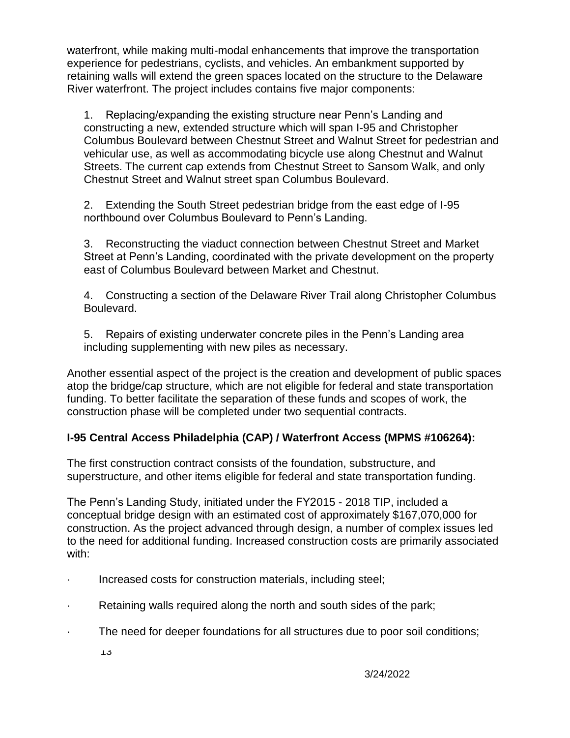waterfront, while making multi-modal enhancements that improve the transportation experience for pedestrians, cyclists, and vehicles. An embankment supported by retaining walls will extend the green spaces located on the structure to the Delaware River waterfront. The project includes contains five major components:

1. Replacing/expanding the existing structure near Penn's Landing and constructing a new, extended structure which will span I-95 and Christopher Columbus Boulevard between Chestnut Street and Walnut Street for pedestrian and vehicular use, as well as accommodating bicycle use along Chestnut and Walnut Streets. The current cap extends from Chestnut Street to Sansom Walk, and only Chestnut Street and Walnut street span Columbus Boulevard.

2. Extending the South Street pedestrian bridge from the east edge of I-95 northbound over Columbus Boulevard to Penn's Landing.

3. Reconstructing the viaduct connection between Chestnut Street and Market Street at Penn's Landing, coordinated with the private development on the property east of Columbus Boulevard between Market and Chestnut.

4. Constructing a section of the Delaware River Trail along Christopher Columbus Boulevard.

5. Repairs of existing underwater concrete piles in the Penn's Landing area including supplementing with new piles as necessary.

Another essential aspect of the project is the creation and development of public spaces atop the bridge/cap structure, which are not eligible for federal and state transportation funding. To better facilitate the separation of these funds and scopes of work, the construction phase will be completed under two sequential contracts.

## **I-95 Central Access Philadelphia (CAP) / Waterfront Access (MPMS #106264):**

The first construction contract consists of the foundation, substructure, and superstructure, and other items eligible for federal and state transportation funding.

The Penn's Landing Study, initiated under the FY2015 - 2018 TIP, included a conceptual bridge design with an estimated cost of approximately \$167,070,000 for construction. As the project advanced through design, a number of complex issues led to the need for additional funding. Increased construction costs are primarily associated with:

- Increased costs for construction materials, including steel;
- · Retaining walls required along the north and south sides of the park;
- · The need for deeper foundations for all structures due to poor soil conditions;
	- 13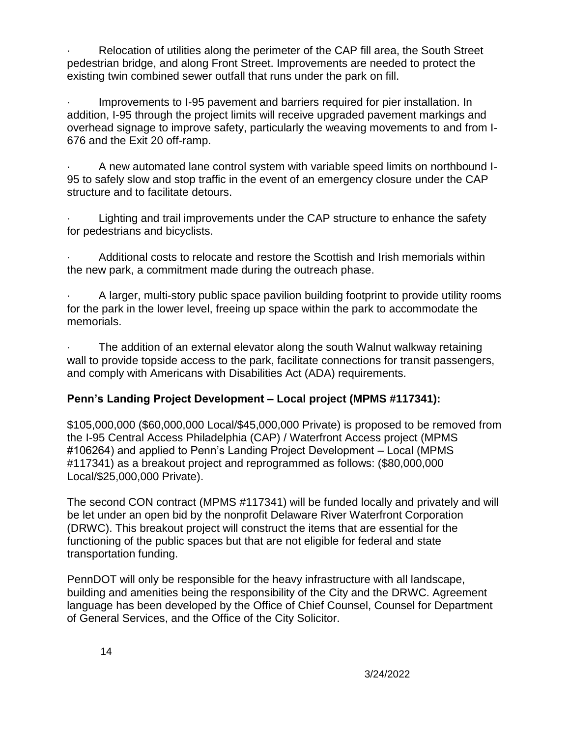· Relocation of utilities along the perimeter of the CAP fill area, the South Street pedestrian bridge, and along Front Street. Improvements are needed to protect the existing twin combined sewer outfall that runs under the park on fill.

Improvements to I-95 pavement and barriers required for pier installation. In addition, I-95 through the project limits will receive upgraded pavement markings and overhead signage to improve safety, particularly the weaving movements to and from I-676 and the Exit 20 off-ramp.

· A new automated lane control system with variable speed limits on northbound I-95 to safely slow and stop traffic in the event of an emergency closure under the CAP structure and to facilitate detours.

Lighting and trail improvements under the CAP structure to enhance the safety for pedestrians and bicyclists.

Additional costs to relocate and restore the Scottish and Irish memorials within the new park, a commitment made during the outreach phase.

· A larger, multi-story public space pavilion building footprint to provide utility rooms for the park in the lower level, freeing up space within the park to accommodate the memorials.

The addition of an external elevator along the south Walnut walkway retaining wall to provide topside access to the park, facilitate connections for transit passengers, and comply with Americans with Disabilities Act (ADA) requirements.

## **Penn's Landing Project Development – Local project (MPMS #117341):**

\$105,000,000 (\$60,000,000 Local/\$45,000,000 Private) is proposed to be removed from the I-95 Central Access Philadelphia (CAP) / Waterfront Access project (MPMS #106264) and applied to Penn's Landing Project Development – Local (MPMS #117341) as a breakout project and reprogrammed as follows: (\$80,000,000 Local/\$25,000,000 Private).

The second CON contract (MPMS #117341) will be funded locally and privately and will be let under an open bid by the nonprofit Delaware River Waterfront Corporation (DRWC). This breakout project will construct the items that are essential for the functioning of the public spaces but that are not eligible for federal and state transportation funding.

PennDOT will only be responsible for the heavy infrastructure with all landscape, building and amenities being the responsibility of the City and the DRWC. Agreement language has been developed by the Office of Chief Counsel, Counsel for Department of General Services, and the Office of the City Solicitor.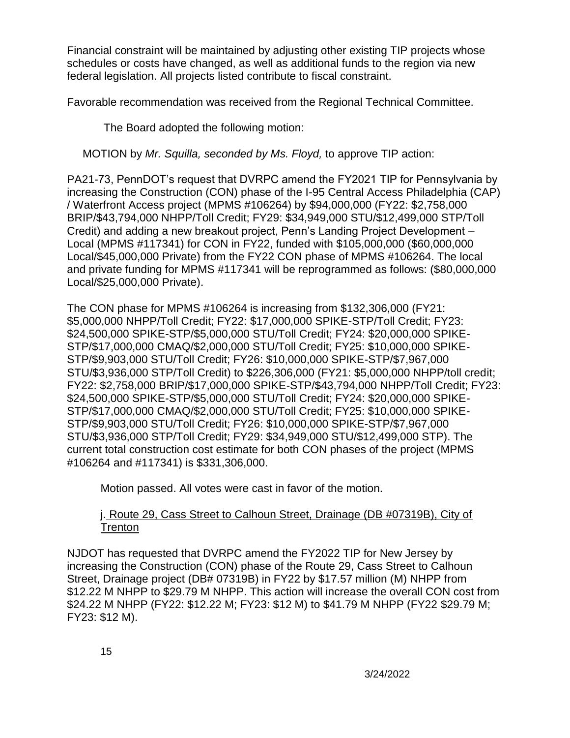Financial constraint will be maintained by adjusting other existing TIP projects whose schedules or costs have changed, as well as additional funds to the region via new federal legislation. All projects listed contribute to fiscal constraint.

Favorable recommendation was received from the Regional Technical Committee.

The Board adopted the following motion:

MOTION by *Mr. Squilla, seconded by Ms. Floyd,* to approve TIP action:

PA21-73, PennDOT's request that DVRPC amend the FY2021 TIP for Pennsylvania by increasing the Construction (CON) phase of the I-95 Central Access Philadelphia (CAP) / Waterfront Access project (MPMS #106264) by \$94,000,000 (FY22: \$2,758,000 BRIP/\$43,794,000 NHPP/Toll Credit; FY29: \$34,949,000 STU/\$12,499,000 STP/Toll Credit) and adding a new breakout project, Penn's Landing Project Development – Local (MPMS #117341) for CON in FY22, funded with \$105,000,000 (\$60,000,000 Local/\$45,000,000 Private) from the FY22 CON phase of MPMS #106264. The local and private funding for MPMS #117341 will be reprogrammed as follows: (\$80,000,000 Local/\$25,000,000 Private).

The CON phase for MPMS #106264 is increasing from \$132,306,000 (FY21: \$5,000,000 NHPP/Toll Credit; FY22: \$17,000,000 SPIKE-STP/Toll Credit; FY23: \$24,500,000 SPIKE-STP/\$5,000,000 STU/Toll Credit; FY24: \$20,000,000 SPIKE-STP/\$17,000,000 CMAQ/\$2,000,000 STU/Toll Credit; FY25: \$10,000,000 SPIKE-STP/\$9,903,000 STU/Toll Credit; FY26: \$10,000,000 SPIKE-STP/\$7,967,000 STU/\$3,936,000 STP/Toll Credit) to \$226,306,000 (FY21: \$5,000,000 NHPP/toll credit; FY22: \$2,758,000 BRIP/\$17,000,000 SPIKE-STP/\$43,794,000 NHPP/Toll Credit; FY23: \$24,500,000 SPIKE-STP/\$5,000,000 STU/Toll Credit; FY24: \$20,000,000 SPIKE-STP/\$17,000,000 CMAQ/\$2,000,000 STU/Toll Credit; FY25: \$10,000,000 SPIKE-STP/\$9,903,000 STU/Toll Credit; FY26: \$10,000,000 SPIKE-STP/\$7,967,000 STU/\$3,936,000 STP/Toll Credit; FY29: \$34,949,000 STU/\$12,499,000 STP). The current total construction cost estimate for both CON phases of the project (MPMS #106264 and #117341) is \$331,306,000.

Motion passed. All votes were cast in favor of the motion.

#### j. Route 29, Cass Street to Calhoun Street, Drainage (DB #07319B), City of **Trenton**

NJDOT has requested that DVRPC amend the FY2022 TIP for New Jersey by increasing the Construction (CON) phase of the Route 29, Cass Street to Calhoun Street, Drainage project (DB# 07319B) in FY22 by \$17.57 million (M) NHPP from \$12.22 M NHPP to \$29.79 M NHPP. This action will increase the overall CON cost from \$24.22 M NHPP (FY22: \$12.22 M; FY23: \$12 M) to \$41.79 M NHPP (FY22 \$29.79 M; FY23: \$12 M).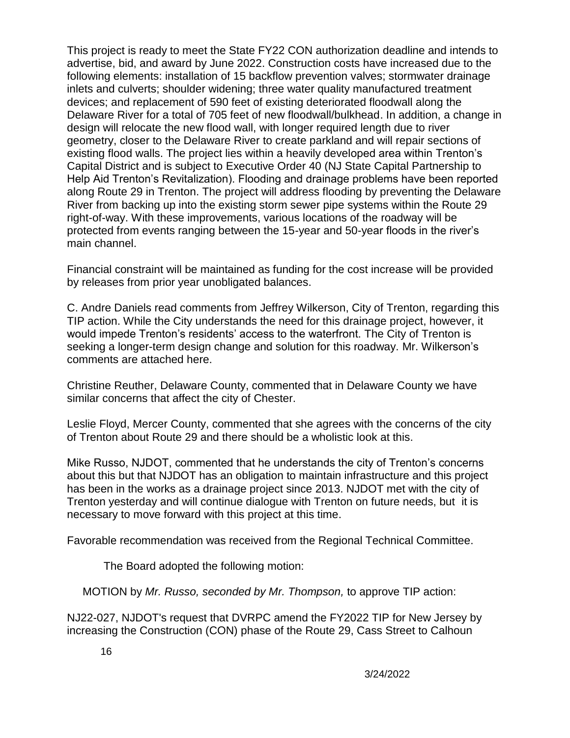This project is ready to meet the State FY22 CON authorization deadline and intends to advertise, bid, and award by June 2022. Construction costs have increased due to the following elements: installation of 15 backflow prevention valves; stormwater drainage inlets and culverts; shoulder widening; three water quality manufactured treatment devices; and replacement of 590 feet of existing deteriorated floodwall along the Delaware River for a total of 705 feet of new floodwall/bulkhead. In addition, a change in design will relocate the new flood wall, with longer required length due to river geometry, closer to the Delaware River to create parkland and will repair sections of existing flood walls. The project lies within a heavily developed area within Trenton's Capital District and is subject to Executive Order 40 (NJ State Capital Partnership to Help Aid Trenton's Revitalization). Flooding and drainage problems have been reported along Route 29 in Trenton. The project will address flooding by preventing the Delaware River from backing up into the existing storm sewer pipe systems within the Route 29 right-of-way. With these improvements, various locations of the roadway will be protected from events ranging between the 15-year and 50-year floods in the river's main channel.

Financial constraint will be maintained as funding for the cost increase will be provided by releases from prior year unobligated balances.

C. Andre Daniels read comments from Jeffrey Wilkerson, City of Trenton, regarding this TIP action. While the City understands the need for this drainage project, however, it would impede Trenton's residents' access to the waterfront. The City of Trenton is seeking a longer-term design change and solution for this roadway. Mr. Wilkerson's comments are attached here.

Christine Reuther, Delaware County, commented that in Delaware County we have similar concerns that affect the city of Chester.

Leslie Floyd, Mercer County, commented that she agrees with the concerns of the city of Trenton about Route 29 and there should be a wholistic look at this.

Mike Russo, NJDOT, commented that he understands the city of Trenton's concerns about this but that NJDOT has an obligation to maintain infrastructure and this project has been in the works as a drainage project since 2013. NJDOT met with the city of Trenton yesterday and will continue dialogue with Trenton on future needs, but it is necessary to move forward with this project at this time.

Favorable recommendation was received from the Regional Technical Committee.

The Board adopted the following motion:

MOTION by *Mr. Russo, seconded by Mr. Thompson,* to approve TIP action:

NJ22-027, NJDOT's request that DVRPC amend the FY2022 TIP for New Jersey by increasing the Construction (CON) phase of the Route 29, Cass Street to Calhoun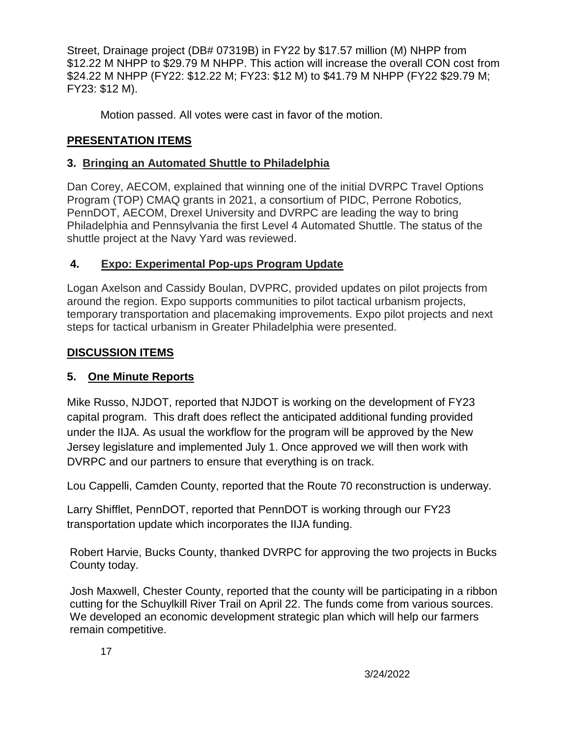Street, Drainage project (DB# 07319B) in FY22 by \$17.57 million (M) NHPP from \$12.22 M NHPP to \$29.79 M NHPP. This action will increase the overall CON cost from \$24.22 M NHPP (FY22: \$12.22 M; FY23: \$12 M) to \$41.79 M NHPP (FY22 \$29.79 M; FY23: \$12 M).

Motion passed. All votes were cast in favor of the motion.

# **PRESENTATION ITEMS**

## **3. Bringing an Automated Shuttle to Philadelphia**

Dan Corey, AECOM, explained that winning one of the initial DVRPC Travel Options Program (TOP) CMAQ grants in 2021, a consortium of PIDC, Perrone Robotics, PennDOT, AECOM, Drexel University and DVRPC are leading the way to bring Philadelphia and Pennsylvania the first Level 4 Automated Shuttle. The status of the shuttle project at the Navy Yard was reviewed.

# **4. Expo: Experimental Pop-ups Program Update**

Logan Axelson and Cassidy Boulan, DVPRC, provided updates on pilot projects from around the region. Expo supports communities to pilot tactical urbanism projects, temporary transportation and placemaking improvements. Expo pilot projects and next steps for tactical urbanism in Greater Philadelphia were presented.

# **DISCUSSION ITEMS**

# **5. One Minute Reports**

Mike Russo, NJDOT, reported that NJDOT is working on the development of FY23 capital program. This draft does reflect the anticipated additional funding provided under the IIJA. As usual the workflow for the program will be approved by the New Jersey legislature and implemented July 1. Once approved we will then work with DVRPC and our partners to ensure that everything is on track.

Lou Cappelli, Camden County, reported that the Route 70 reconstruction is underway.

Larry Shifflet, PennDOT, reported that PennDOT is working through our FY23 transportation update which incorporates the IIJA funding.

Robert Harvie, Bucks County, thanked DVRPC for approving the two projects in Bucks County today.

Josh Maxwell, Chester County, reported that the county will be participating in a ribbon cutting for the Schuylkill River Trail on April 22. The funds come from various sources. We developed an economic development strategic plan which will help our farmers remain competitive.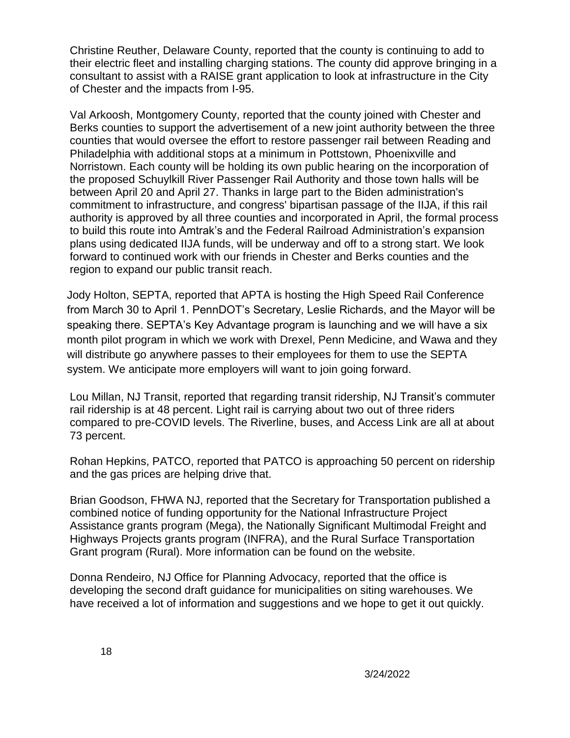Christine Reuther, Delaware County, reported that the county is continuing to add to their electric fleet and installing charging stations. The county did approve bringing in a consultant to assist with a RAISE grant application to look at infrastructure in the City of Chester and the impacts from I-95.

Val Arkoosh, Montgomery County, reported that the county joined with Chester and Berks counties to support the advertisement of a new joint authority between the three counties that would oversee the effort to restore passenger rail between Reading and Philadelphia with additional stops at a minimum in Pottstown, Phoenixville and Norristown. Each county will be holding its own public hearing on the incorporation of the proposed Schuylkill River Passenger Rail Authority and those town halls will be between April 20 and April 27. Thanks in large part to the Biden administration's commitment to infrastructure, and congress' bipartisan passage of the IIJA, if this rail authority is approved by all three counties and incorporated in April, the formal process to build this route into Amtrak's and the Federal Railroad Administration's expansion plans using dedicated IIJA funds, will be underway and off to a strong start. We look forward to continued work with our friends in Chester and Berks counties and the region to expand our public transit reach.

Jody Holton, SEPTA, reported that APTA is hosting the High Speed Rail Conference from March 30 to April 1. PennDOT's Secretary, Leslie Richards, and the Mayor will be speaking there. SEPTA's Key Advantage program is launching and we will have a six month pilot program in which we work with Drexel, Penn Medicine, and Wawa and they will distribute go anywhere passes to their employees for them to use the SEPTA system. We anticipate more employers will want to join going forward.

Lou Millan, NJ Transit, reported that regarding transit ridership, NJ Transit's commuter rail ridership is at 48 percent. Light rail is carrying about two out of three riders compared to pre-COVID levels. The Riverline, buses, and Access Link are all at about 73 percent.

Rohan Hepkins, PATCO, reported that PATCO is approaching 50 percent on ridership and the gas prices are helping drive that.

Brian Goodson, FHWA NJ, reported that the Secretary for Transportation published a combined notice of funding opportunity for the National Infrastructure Project Assistance grants program (Mega), the Nationally Significant Multimodal Freight and Highways Projects grants program (INFRA), and the Rural Surface Transportation Grant program (Rural). More information can be found on the website.

Donna Rendeiro, NJ Office for Planning Advocacy, reported that the office is developing the second draft guidance for municipalities on siting warehouses. We have received a lot of information and suggestions and we hope to get it out quickly.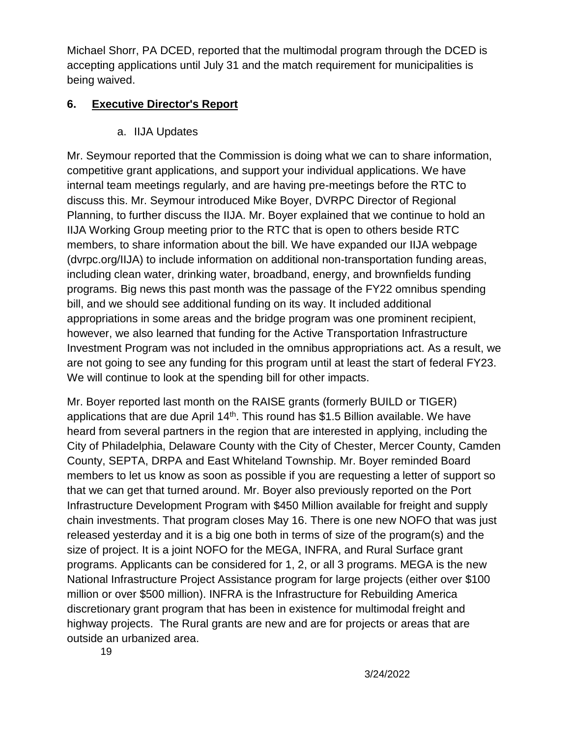Michael Shorr, PA DCED, reported that the multimodal program through the DCED is accepting applications until July 31 and the match requirement for municipalities is being waived.

# **6. Executive Director's Report**

a. IIJA Updates

Mr. Seymour reported that the Commission is doing what we can to share information, competitive grant applications, and support your individual applications. We have internal team meetings regularly, and are having pre-meetings before the RTC to discuss this. Mr. Seymour introduced Mike Boyer, DVRPC Director of Regional Planning, to further discuss the IIJA. Mr. Boyer explained that we continue to hold an IIJA Working Group meeting prior to the RTC that is open to others beside RTC members, to share information about the bill. We have expanded our IIJA webpage (dvrpc.org/IIJA) to include information on additional non-transportation funding areas, including clean water, drinking water, broadband, energy, and brownfields funding programs. Big news this past month was the passage of the FY22 omnibus spending bill, and we should see additional funding on its way. It included additional appropriations in some areas and the bridge program was one prominent recipient, however, we also learned that funding for the Active Transportation Infrastructure Investment Program was not included in the omnibus appropriations act. As a result, we are not going to see any funding for this program until at least the start of federal FY23. We will continue to look at the spending bill for other impacts.

Mr. Boyer reported last month on the RAISE grants (formerly BUILD or TIGER) applications that are due April  $14<sup>th</sup>$ . This round has \$1.5 Billion available. We have heard from several partners in the region that are interested in applying, including the City of Philadelphia, Delaware County with the City of Chester, Mercer County, Camden County, SEPTA, DRPA and East Whiteland Township. Mr. Boyer reminded Board members to let us know as soon as possible if you are requesting a letter of support so that we can get that turned around. Mr. Boyer also previously reported on the Port Infrastructure Development Program with \$450 Million available for freight and supply chain investments. That program closes May 16. There is one new NOFO that was just released yesterday and it is a big one both in terms of size of the program(s) and the size of project. It is a joint NOFO for the MEGA, INFRA, and Rural Surface grant programs. Applicants can be considered for 1, 2, or all 3 programs. MEGA is the new National Infrastructure Project Assistance program for large projects (either over \$100 million or over \$500 million). INFRA is the Infrastructure for Rebuilding America discretionary grant program that has been in existence for multimodal freight and highway projects. The Rural grants are new and are for projects or areas that are outside an urbanized area.

19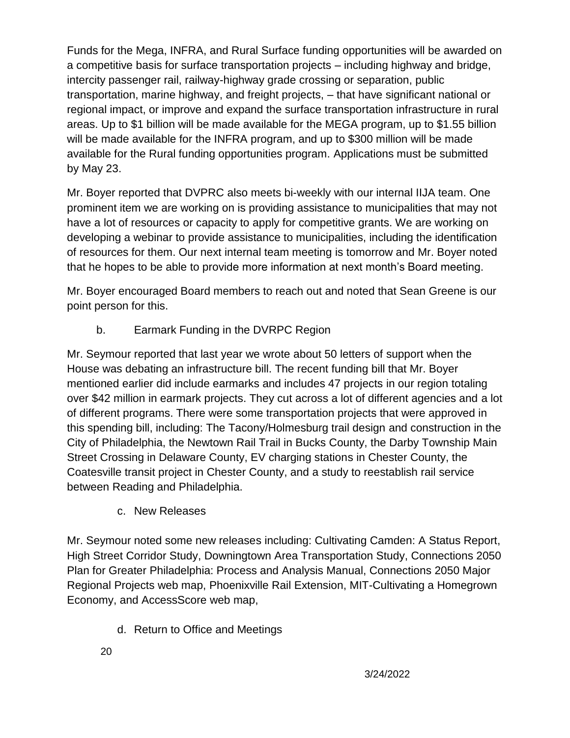Funds for the Mega, INFRA, and Rural Surface funding opportunities will be awarded on a competitive basis for surface transportation projects – including highway and bridge, intercity passenger rail, railway-highway grade crossing or separation, public transportation, marine highway, and freight projects, – that have significant national or regional impact, or improve and expand the surface transportation infrastructure in rural areas. Up to \$1 billion will be made available for the MEGA program, up to \$1.55 billion will be made available for the INFRA program, and up to \$300 million will be made available for the Rural funding opportunities program. Applications must be submitted by May 23.

Mr. Boyer reported that DVPRC also meets bi-weekly with our internal IIJA team. One prominent item we are working on is providing assistance to municipalities that may not have a lot of resources or capacity to apply for competitive grants. We are working on developing a webinar to provide assistance to municipalities, including the identification of resources for them. Our next internal team meeting is tomorrow and Mr. Boyer noted that he hopes to be able to provide more information at next month's Board meeting.

Mr. Boyer encouraged Board members to reach out and noted that Sean Greene is our point person for this.

b. Earmark Funding in the DVRPC Region

Mr. Seymour reported that last year we wrote about 50 letters of support when the House was debating an infrastructure bill. The recent funding bill that Mr. Boyer mentioned earlier did include earmarks and includes 47 projects in our region totaling over \$42 million in earmark projects. They cut across a lot of different agencies and a lot of different programs. There were some transportation projects that were approved in this spending bill, including: The Tacony/Holmesburg trail design and construction in the City of Philadelphia, the Newtown Rail Trail in Bucks County, the Darby Township Main Street Crossing in Delaware County, EV charging stations in Chester County, the Coatesville transit project in Chester County, and a study to reestablish rail service between Reading and Philadelphia.

c. New Releases

Mr. Seymour noted some new releases including: Cultivating Camden: A Status Report, High Street Corridor Study, Downingtown Area Transportation Study, Connections 2050 Plan for Greater Philadelphia: Process and Analysis Manual, Connections 2050 Major Regional Projects web map, Phoenixville Rail Extension, MIT-Cultivating a Homegrown Economy, and AccessScore web map,

d. Return to Office and Meetings